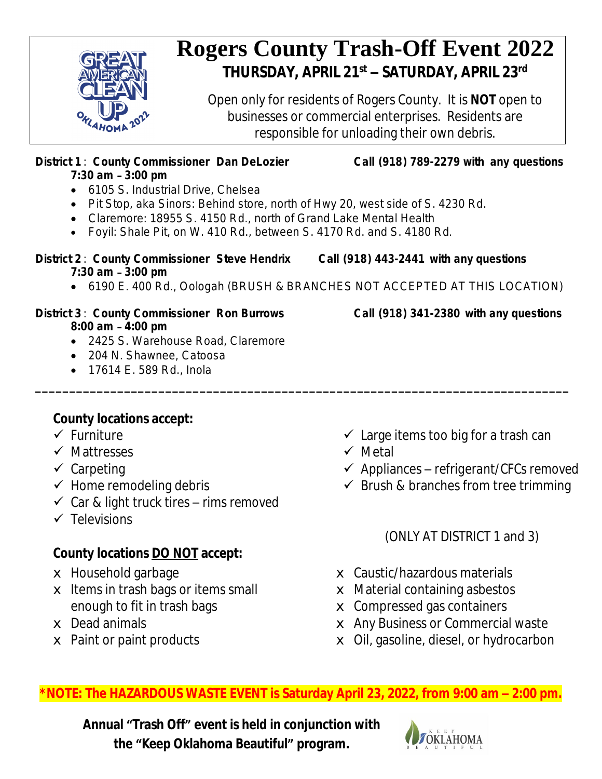

# **Rogers County Trash-Off Event 2022 THURSDAY, APRIL 21st – SATURDAY, APRIL 23rd**

Open only for residents of Rogers County. It is **NOT** open to businesses or commercial enterprises. Residents are responsible for unloading their own debris.

#### **District 1** : **County Commissioner Dan DeLozier Call (918) 789-2279 with any questions 7:30 am** – **3:00 pm**

- 6105 S. Industrial Drive, Chelsea
- Pit Stop, aka Sinors: Behind store, north of Hwy 20, west side of S. 4230 Rd.
- Claremore: 18955 S. 4150 Rd., north of Grand Lake Mental Health
- Foyil: Shale Pit, on W. 410 Rd., between S. 4170 Rd. and S. 4180 Rd.
- **District 2** : **County Commissioner Steve Hendrix Call (918) 443-2441 with any questions 7:30 am** – **3:00 pm**
	- 6190 E. 400 Rd., Oologah (BRUSH & BRANCHES NOT ACCEPTED AT THIS LOCATION)

**\_\_\_\_\_\_\_\_\_\_\_\_\_\_\_\_\_\_\_\_\_\_\_\_\_\_\_\_\_\_\_\_\_\_\_\_\_\_\_\_\_\_\_\_\_\_\_\_\_\_\_\_\_\_\_\_\_\_\_\_\_\_\_\_\_\_\_\_\_\_\_\_\_\_\_\_\_\_**

#### **District 3** : **County Commissioner Ron Burrows Call (918) 341-2380 with any questions 8:00 am** – **4:00 pm**

- 2425 S. Warehouse Road, Claremore
- 204 N. Shawnee, Catoosa
- 17614 E. 589 Rd., Inola

### **County locations accept:**

- $\checkmark$  Furniture
- $\checkmark$  Mattresses
- $\checkmark$  Carpeting
- $\checkmark$  Home remodeling debris
- Car & light truck tires *rims removed*
- $\checkmark$  Televisions

## **County locations DO NOT accept:**

- x Household garbage
- $x$  Items in trash bags or items small enough to fit in trash bags
- x Dead animals
- $x$  Paint or paint products
- $\checkmark$  Large items too big for a trash can
- $\checkmark$  Metal
- Appliances *refrigerant/CFCs removed*
- $\checkmark$  Brush & branches from tree trimming

(ONLY AT DISTRICT 1 and 3)

- x Caustic/hazardous materials
- $x$  Material containing asbestos
- $x$  Compressed gas containers
- x Any Business or Commercial waste
- x Oil, gasoline, diesel, or hydrocarbon

**\*NOTE: The HAZARDOUS WASTE EVENT is Saturday April 23, 2022, from 9:00 am – 2:00 pm.**

**Annual "Trash Off" event is held in conjunction with the "Keep Oklahoma Beautiful" program.**